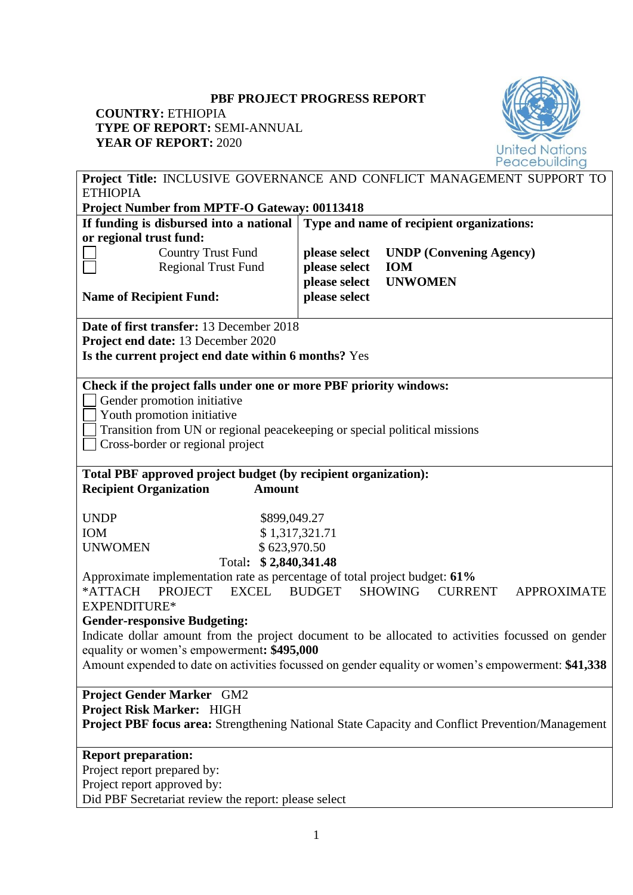# **PBF PROJECT PROGRESS REPORT**

# **COUNTRY:** ETHIOPIA **TYPE OF REPORT:** SEMI-ANNUAL **YEAR OF REPORT:** 2020



| I II E OF KEI OKI, SEMI-ANNOAL                                                    |                |                                                                                                         |
|-----------------------------------------------------------------------------------|----------------|---------------------------------------------------------------------------------------------------------|
| <b>YEAR OF REPORT: 2020</b>                                                       |                | <b>United Nations</b>                                                                                   |
|                                                                                   |                | Peacebuilding<br>Project Title: INCLUSIVE GOVERNANCE AND CONFLICT MANAGEMENT SUPPORT TO                 |
| <b>ETHIOPIA</b>                                                                   |                |                                                                                                         |
| <b>Project Number from MPTF-O Gateway: 00113418</b>                               |                |                                                                                                         |
| If funding is disbursed into a national Type and name of recipient organizations: |                |                                                                                                         |
| or regional trust fund:                                                           |                |                                                                                                         |
| <b>Country Trust Fund</b>                                                         | please select  | <b>UNDP</b> (Convening Agency)                                                                          |
| <b>Regional Trust Fund</b>                                                        | please select  | <b>IOM</b>                                                                                              |
|                                                                                   | please select  | <b>UNWOMEN</b>                                                                                          |
| <b>Name of Recipient Fund:</b>                                                    | please select  |                                                                                                         |
| Date of first transfer: 13 December 2018                                          |                |                                                                                                         |
| Project end date: 13 December 2020                                                |                |                                                                                                         |
| Is the current project end date within 6 months? Yes                              |                |                                                                                                         |
|                                                                                   |                |                                                                                                         |
| Check if the project falls under one or more PBF priority windows:                |                |                                                                                                         |
| Gender promotion initiative<br>Youth promotion initiative                         |                |                                                                                                         |
| Transition from UN or regional peacekeeping or special political missions         |                |                                                                                                         |
| Cross-border or regional project                                                  |                |                                                                                                         |
|                                                                                   |                |                                                                                                         |
| Total PBF approved project budget (by recipient organization):                    |                |                                                                                                         |
| <b>Recipient Organization</b><br><b>Amount</b>                                    |                |                                                                                                         |
| <b>UNDP</b>                                                                       |                |                                                                                                         |
| \$899,049.27<br>IOM                                                               | \$1,317,321.71 |                                                                                                         |
| \$623,970.50<br><b>UNWOMEN</b>                                                    |                |                                                                                                         |
| Total: \$2,840,341.48                                                             |                |                                                                                                         |
| Approximate implementation rate as percentage of total project budget: 61%        |                |                                                                                                         |
| *ATTACH<br><b>PROJECT</b><br><b>EXCEL</b>                                         | BUDGET         | SHOWING<br><b>CURRENT</b><br><b>APPROXIMATE</b>                                                         |
| EXPENDITURE*                                                                      |                |                                                                                                         |
| <b>Gender-responsive Budgeting:</b>                                               |                |                                                                                                         |
|                                                                                   |                | Indicate dollar amount from the project document to be allocated to activities focussed on gender       |
| equality or women's empowerment: \$495,000                                        |                |                                                                                                         |
|                                                                                   |                | Amount expended to date on activities focussed on gender equality or women's empowerment: \$41,338      |
| <b>Project Gender Marker GM2</b>                                                  |                |                                                                                                         |
| Project Risk Marker: HIGH                                                         |                |                                                                                                         |
|                                                                                   |                | <b>Project PBF focus area:</b> Strengthening National State Capacity and Conflict Prevention/Management |
| <b>Report preparation:</b>                                                        |                |                                                                                                         |
| Project report prepared by:                                                       |                |                                                                                                         |
| Project report approved by:                                                       |                |                                                                                                         |
| Did PBF Secretariat review the report: please select                              |                |                                                                                                         |
|                                                                                   |                |                                                                                                         |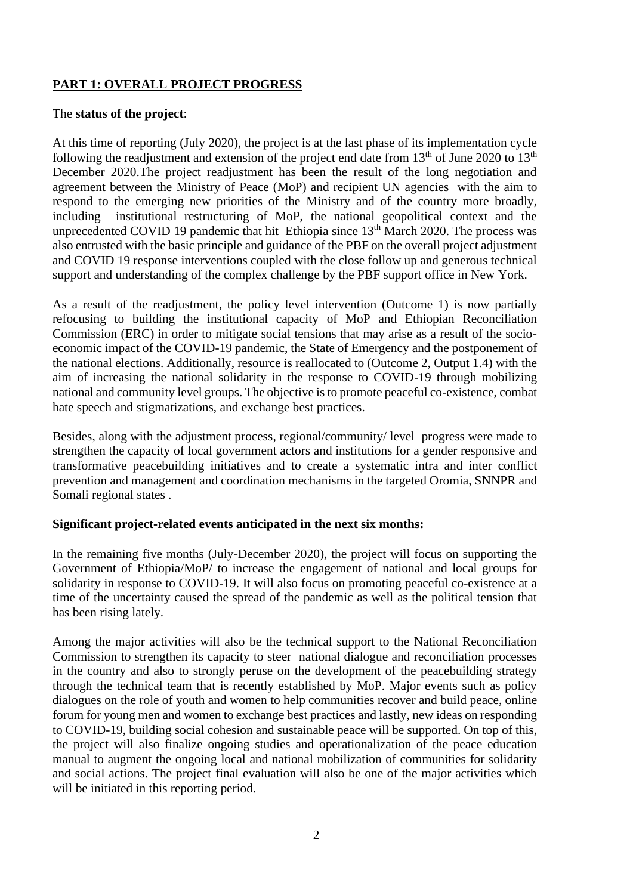# **PART 1: OVERALL PROJECT PROGRESS**

#### The **status of the project**:

At this time of reporting (July 2020), the project is at the last phase of its implementation cycle following the readjustment and extension of the project end date from  $13<sup>th</sup>$  of June 2020 to  $13<sup>th</sup>$ December 2020.The project readjustment has been the result of the long negotiation and agreement between the Ministry of Peace (MoP) and recipient UN agencies with the aim to respond to the emerging new priorities of the Ministry and of the country more broadly, including institutional restructuring of MoP, the national geopolitical context and the unprecedented COVID 19 pandemic that hit Ethiopia since  $13<sup>th</sup>$  March 2020. The process was also entrusted with the basic principle and guidance of the PBF on the overall project adjustment and COVID 19 response interventions coupled with the close follow up and generous technical support and understanding of the complex challenge by the PBF support office in New York.

As a result of the readjustment, the policy level intervention (Outcome 1) is now partially refocusing to building the institutional capacity of MoP and Ethiopian Reconciliation Commission (ERC) in order to mitigate social tensions that may arise as a result of the socioeconomic impact of the COVID-19 pandemic, the State of Emergency and the postponement of the national elections. Additionally, resource is reallocated to (Outcome 2, Output 1.4) with the aim of increasing the national solidarity in the response to COVID-19 through mobilizing national and community level groups. The objective is to promote peaceful co-existence, combat hate speech and stigmatizations, and exchange best practices.

Besides, along with the adjustment process, regional/community/ level progress were made to strengthen the capacity of local government actors and institutions for a gender responsive and transformative peacebuilding initiatives and to create a systematic intra and inter conflict prevention and management and coordination mechanisms in the targeted Oromia, SNNPR and Somali regional states .

#### **Significant project-related events anticipated in the next six months:**

In the remaining five months (July-December 2020), the project will focus on supporting the Government of Ethiopia/MoP/ to increase the engagement of national and local groups for solidarity in response to COVID-19. It will also focus on promoting peaceful co-existence at a time of the uncertainty caused the spread of the pandemic as well as the political tension that has been rising lately.

Among the major activities will also be the technical support to the National Reconciliation Commission to strengthen its capacity to steer national dialogue and reconciliation processes in the country and also to strongly peruse on the development of the peacebuilding strategy through the technical team that is recently established by MoP. Major events such as policy dialogues on the role of youth and women to help communities recover and build peace, online forum for young men and women to exchange best practices and lastly, new ideas on responding to COVID-19, building social cohesion and sustainable peace will be supported. On top of this, the project will also finalize ongoing studies and operationalization of the peace education manual to augment the ongoing local and national mobilization of communities for solidarity and social actions. The project final evaluation will also be one of the major activities which will be initiated in this reporting period.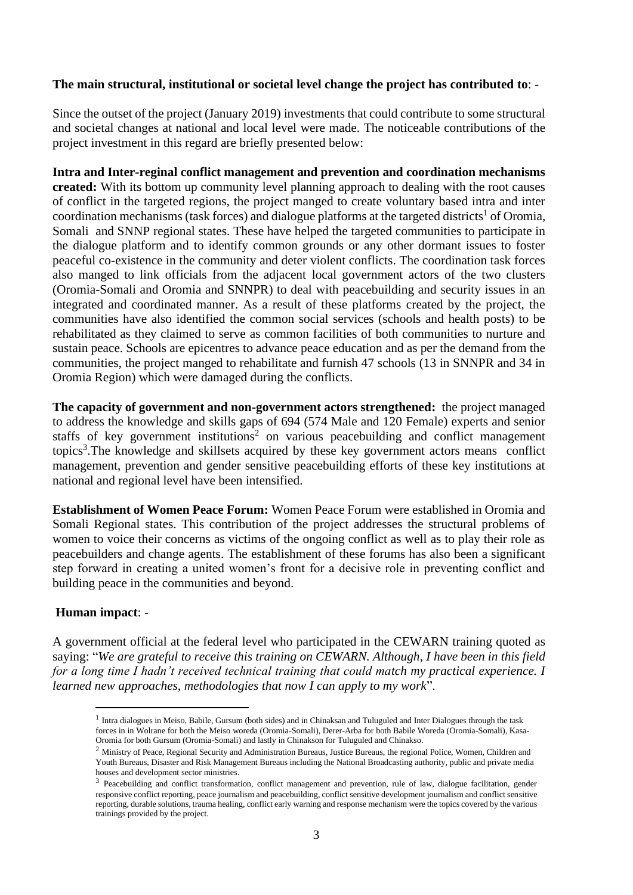### **The main structural, institutional or societal level change the project has contributed to**: -

Since the outset of the project (January 2019) investments that could contribute to some structural and societal changes at national and local level were made. The noticeable contributions of the project investment in this regard are briefly presented below:

**Intra and Inter-reginal conflict management and prevention and coordination mechanisms created:** With its bottom up community level planning approach to dealing with the root causes of conflict in the targeted regions, the project manged to create voluntary based intra and inter coordination mechanisms (task forces) and dialogue platforms at the targeted districts<sup>1</sup> of Oromia, Somali and SNNP regional states. These have helped the targeted communities to participate in the dialogue platform and to identify common grounds or any other dormant issues to foster peaceful co-existence in the community and deter violent conflicts. The coordination task forces also manged to link officials from the adjacent local government actors of the two clusters (Oromia-Somali and Oromia and SNNPR) to deal with peacebuilding and security issues in an integrated and coordinated manner. As a result of these platforms created by the project, the communities have also identified the common social services (schools and health posts) to be rehabilitated as they claimed to serve as common facilities of both communities to nurture and sustain peace. Schools are epicentres to advance peace education and as per the demand from the communities, the project manged to rehabilitate and furnish 47 schools (13 in SNNPR and 34 in Oromia Region) which were damaged during the conflicts.

**The capacity of government and non-government actors strengthened:** the project managed to address the knowledge and skills gaps of 694 (574 Male and 120 Female) experts and senior staffs of key government institutions<sup>2</sup> on various peacebuilding and conflict management topics<sup>3</sup>. The knowledge and skillsets acquired by these key government actors means conflict management, prevention and gender sensitive peacebuilding efforts of these key institutions at national and regional level have been intensified.

**Establishment of Women Peace Forum:** Women Peace Forum were established in Oromia and Somali Regional states. This contribution of the project addresses the structural problems of women to voice their concerns as victims of the ongoing conflict as well as to play their role as peacebuilders and change agents. The establishment of these forums has also been a significant step forward in creating a united women's front for a decisive role in preventing conflict and building peace in the communities and beyond.

#### **Human impact**: -

A government official at the federal level who participated in the CEWARN training quoted as saying: "*We are grateful to receive this training on CEWARN. Although, I have been in this field for a long time I hadn't received technical training that could match my practical experience. I learned new approaches, methodologies that now I can apply to my work*".

<sup>&</sup>lt;sup>1</sup> Intra dialogues in Meiso, Babile, Gursum (both sides) and in Chinaksan and Tuluguled and Inter Dialogues through the task forces in in Wolrane for both the Meiso woreda (Oromia-Somali), Derer-Arba for both Babile Woreda (Oromia-Somali), Kasa-Oromia for both Gursum (Oromia-Somali) and lastly in Chinakson for Tuluguled and Chinakso.

<sup>&</sup>lt;sup>2</sup> Ministry of Peace, Regional Security and Administration Bureaus, Justice Bureaus, the regional Police, Women, Children and Youth Bureaus, Disaster and Risk Management Bureaus including the National Broadcasting authority, public and private media houses and development sector ministries.

<sup>&</sup>lt;sup>3</sup> Peacebuilding and conflict transformation, conflict management and prevention, rule of law, dialogue facilitation, gender responsive conflict reporting, peace journalism and peacebuilding, conflict sensitive development journalism and conflict sensitive reporting, durable solutions, trauma healing, conflict early warning and response mechanism were the topics covered by the various trainings provided by the project.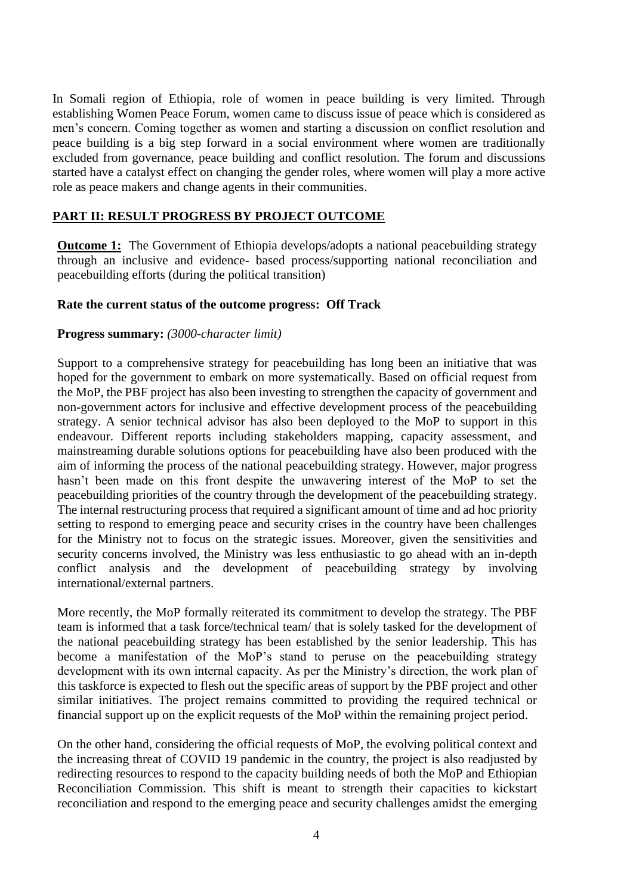In Somali region of Ethiopia, role of women in peace building is very limited. Through establishing Women Peace Forum, women came to discuss issue of peace which is considered as men's concern. Coming together as women and starting a discussion on conflict resolution and peace building is a big step forward in a social environment where women are traditionally excluded from governance, peace building and conflict resolution. The forum and discussions started have a catalyst effect on changing the gender roles, where women will play a more active role as peace makers and change agents in their communities.

## **PART II: RESULT PROGRESS BY PROJECT OUTCOME**

**Outcome 1:** The Government of Ethiopia develops/adopts a national peacebuilding strategy through an inclusive and evidence- based process/supporting national reconciliation and peacebuilding efforts (during the political transition)

#### **Rate the current status of the outcome progress: Off Track**

#### **Progress summary:** *(3000-character limit)*

Support to a comprehensive strategy for peacebuilding has long been an initiative that was hoped for the government to embark on more systematically. Based on official request from the MoP, the PBF project has also been investing to strengthen the capacity of government and non-government actors for inclusive and effective development process of the peacebuilding strategy. A senior technical advisor has also been deployed to the MoP to support in this endeavour. Different reports including stakeholders mapping, capacity assessment, and mainstreaming durable solutions options for peacebuilding have also been produced with the aim of informing the process of the national peacebuilding strategy. However, major progress hasn't been made on this front despite the unwavering interest of the MoP to set the peacebuilding priorities of the country through the development of the peacebuilding strategy. The internal restructuring process that required a significant amount of time and ad hoc priority setting to respond to emerging peace and security crises in the country have been challenges for the Ministry not to focus on the strategic issues. Moreover, given the sensitivities and security concerns involved, the Ministry was less enthusiastic to go ahead with an in-depth conflict analysis and the development of peacebuilding strategy by involving international/external partners.

More recently, the MoP formally reiterated its commitment to develop the strategy. The PBF team is informed that a task force/technical team/ that is solely tasked for the development of the national peacebuilding strategy has been established by the senior leadership. This has become a manifestation of the MoP's stand to peruse on the peacebuilding strategy development with its own internal capacity. As per the Ministry's direction, the work plan of this taskforce is expected to flesh out the specific areas of support by the PBF project and other similar initiatives. The project remains committed to providing the required technical or financial support up on the explicit requests of the MoP within the remaining project period.

On the other hand, considering the official requests of MoP, the evolving political context and the increasing threat of COVID 19 pandemic in the country, the project is also readjusted by redirecting resources to respond to the capacity building needs of both the MoP and Ethiopian Reconciliation Commission. This shift is meant to strength their capacities to kickstart reconciliation and respond to the emerging peace and security challenges amidst the emerging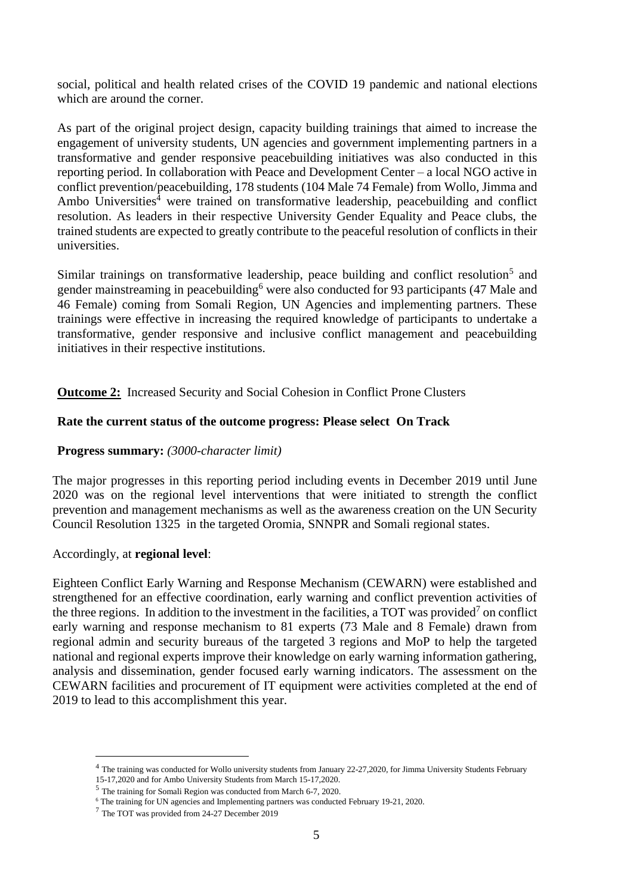social, political and health related crises of the COVID 19 pandemic and national elections which are around the corner.

As part of the original project design, capacity building trainings that aimed to increase the engagement of university students, UN agencies and government implementing partners in a transformative and gender responsive peacebuilding initiatives was also conducted in this reporting period. In collaboration with Peace and Development Center – a local NGO active in conflict prevention/peacebuilding, 178 students (104 Male 74 Female) from Wollo, Jimma and Ambo Universities<sup>4</sup> were trained on transformative leadership, peacebuilding and conflict resolution. As leaders in their respective University Gender Equality and Peace clubs, the trained students are expected to greatly contribute to the peaceful resolution of conflicts in their universities.

Similar trainings on transformative leadership, peace building and conflict resolution<sup>5</sup> and gender mainstreaming in peacebuilding<sup>6</sup> were also conducted for 93 participants (47 Male and 46 Female) coming from Somali Region, UN Agencies and implementing partners. These trainings were effective in increasing the required knowledge of participants to undertake a transformative, gender responsive and inclusive conflict management and peacebuilding initiatives in their respective institutions.

**Outcome 2:** Increased Security and Social Cohesion in Conflict Prone Clusters

#### **Rate the current status of the outcome progress: Please select On Track**

### **Progress summary:** *(3000-character limit)*

The major progresses in this reporting period including events in December 2019 until June 2020 was on the regional level interventions that were initiated to strength the conflict prevention and management mechanisms as well as the awareness creation on the UN Security Council Resolution 1325 in the targeted Oromia, SNNPR and Somali regional states.

#### Accordingly, at **regional level**:

Eighteen Conflict Early Warning and Response Mechanism (CEWARN) were established and strengthened for an effective coordination, early warning and conflict prevention activities of the three regions. In addition to the investment in the facilities, a TOT was provided<sup>7</sup> on conflict early warning and response mechanism to 81 experts (73 Male and 8 Female) drawn from regional admin and security bureaus of the targeted 3 regions and MoP to help the targeted national and regional experts improve their knowledge on early warning information gathering, analysis and dissemination, gender focused early warning indicators. The assessment on the CEWARN facilities and procurement of IT equipment were activities completed at the end of 2019 to lead to this accomplishment this year.

<sup>&</sup>lt;sup>4</sup> The training was conducted for Wollo university students from January 22-27,2020, for Jimma University Students February 15-17,2020 and for Ambo University Students from March 15-17,2020.

<sup>5</sup> The training for Somali Region was conducted from March 6-7, 2020.

<sup>&</sup>lt;sup>6</sup> The training for UN agencies and Implementing partners was conducted February 19-21, 2020.

<sup>7</sup> The TOT was provided from 24-27 December 2019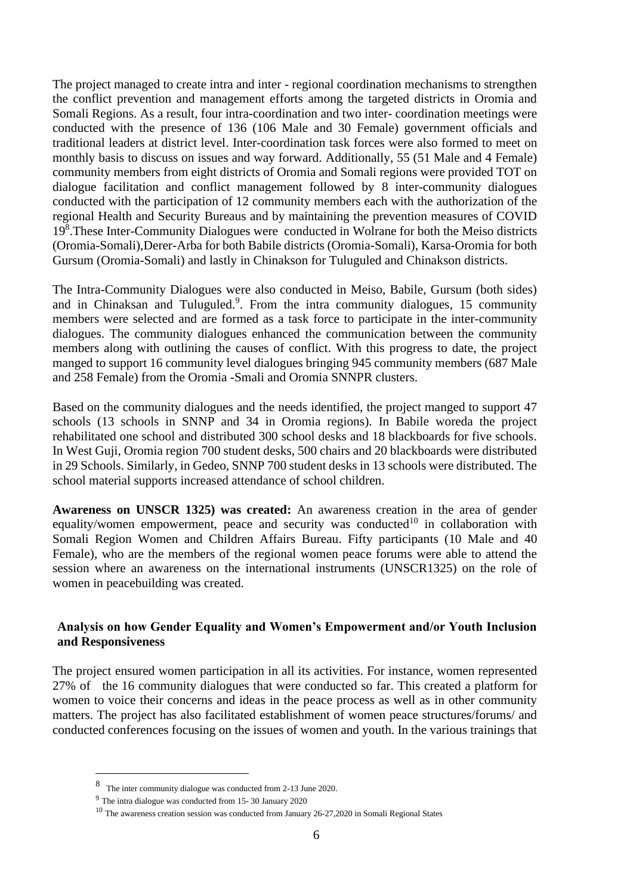The project managed to create intra and inter - regional coordination mechanisms to strengthen the conflict prevention and management efforts among the targeted districts in Oromia and Somali Regions. As a result, four intra-coordination and two inter- coordination meetings were conducted with the presence of 136 (106 Male and 30 Female) government officials and traditional leaders at district level. Inter-coordination task forces were also formed to meet on monthly basis to discuss on issues and way forward. Additionally, 55 (51 Male and 4 Female) community members from eight districts of Oromia and Somali regions were provided TOT on dialogue facilitation and conflict management followed by 8 inter-community dialogues conducted with the participation of 12 community members each with the authorization of the regional Health and Security Bureaus and by maintaining the prevention measures of COVID 19<sup>8</sup> .These Inter-Community Dialogues were conducted in Wolrane for both the Meiso districts (Oromia-Somali),Derer-Arba for both Babile districts (Oromia-Somali), Karsa-Oromia for both Gursum (Oromia-Somali) and lastly in Chinakson for Tuluguled and Chinakson districts.

The Intra-Community Dialogues were also conducted in Meiso, Babile, Gursum (both sides) and in Chinaksan and Tuluguled.<sup>9</sup>. From the intra community dialogues, 15 community members were selected and are formed as a task force to participate in the inter-community dialogues. The community dialogues enhanced the communication between the community members along with outlining the causes of conflict. With this progress to date, the project manged to support 16 community level dialogues bringing 945 community members (687 Male and 258 Female) from the Oromia -Smali and Oromia SNNPR clusters.

Based on the community dialogues and the needs identified, the project manged to support 47 schools (13 schools in SNNP and 34 in Oromia regions). In Babile woreda the project rehabilitated one school and distributed 300 school desks and 18 blackboards for five schools. In West Guji, Oromia region 700 student desks, 500 chairs and 20 blackboards were distributed in 29 Schools. Similarly, in Gedeo, SNNP 700 student desks in 13 schools were distributed. The school material supports increased attendance of school children.

**Awareness on UNSCR 1325) was created:** An awareness creation in the area of gender equality/women empowerment, peace and security was conducted<sup>10</sup> in collaboration with Somali Region Women and Children Affairs Bureau. Fifty participants (10 Male and 40 Female), who are the members of the regional women peace forums were able to attend the session where an awareness on the international instruments (UNSCR1325) on the role of women in peacebuilding was created.

#### **Analysis on how Gender Equality and Women's Empowerment and/or Youth Inclusion and Responsiveness**

The project ensured women participation in all its activities. For instance, women represented 27% of the 16 community dialogues that were conducted so far. This created a platform for women to voice their concerns and ideas in the peace process as well as in other community matters. The project has also facilitated establishment of women peace structures/forums/ and conducted conferences focusing on the issues of women and youth. In the various trainings that

<sup>8</sup> The inter community dialogue was conducted from 2-13 June 2020.

<sup>9</sup> The intra dialogue was conducted from 15- 30 January 2020

 $10$  The awareness creation session was conducted from January 26-27, 2020 in Somali Regional States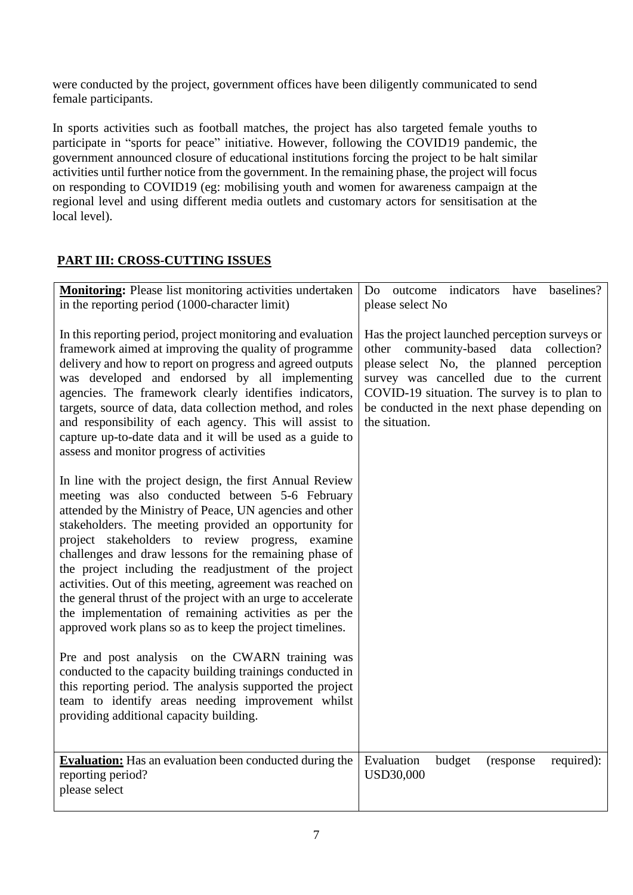were conducted by the project, government offices have been diligently communicated to send female participants.

In sports activities such as football matches, the project has also targeted female youths to participate in "sports for peace" initiative. However, following the COVID19 pandemic, the government announced closure of educational institutions forcing the project to be halt similar activities until further notice from the government. In the remaining phase, the project will focus on responding to COVID19 (eg: mobilising youth and women for awareness campaign at the regional level and using different media outlets and customary actors for sensitisation at the local level).

# **PART III: CROSS-CUTTING ISSUES**

| <b>Monitoring:</b> Please list monitoring activities undertaken<br>in the reporting period (1000-character limit)                                                                                                                                                                                                                                                                                                                                                                                                                                                                                                                                         | have baselines?<br>Do outcome indicators<br>please select No                                                                                                                                                                                                                                        |
|-----------------------------------------------------------------------------------------------------------------------------------------------------------------------------------------------------------------------------------------------------------------------------------------------------------------------------------------------------------------------------------------------------------------------------------------------------------------------------------------------------------------------------------------------------------------------------------------------------------------------------------------------------------|-----------------------------------------------------------------------------------------------------------------------------------------------------------------------------------------------------------------------------------------------------------------------------------------------------|
| In this reporting period, project monitoring and evaluation<br>framework aimed at improving the quality of programme<br>delivery and how to report on progress and agreed outputs<br>was developed and endorsed by all implementing<br>agencies. The framework clearly identifies indicators,<br>targets, source of data, data collection method, and roles<br>and responsibility of each agency. This will assist to<br>capture up-to-date data and it will be used as a guide to<br>assess and monitor progress of activities                                                                                                                           | Has the project launched perception surveys or<br>community-based data collection?<br>other<br>please select No, the planned perception<br>survey was cancelled due to the current<br>COVID-19 situation. The survey is to plan to<br>be conducted in the next phase depending on<br>the situation. |
| In line with the project design, the first Annual Review<br>meeting was also conducted between 5-6 February<br>attended by the Ministry of Peace, UN agencies and other<br>stakeholders. The meeting provided an opportunity for<br>project stakeholders to review progress, examine<br>challenges and draw lessons for the remaining phase of<br>the project including the readjustment of the project<br>activities. Out of this meeting, agreement was reached on<br>the general thrust of the project with an urge to accelerate<br>the implementation of remaining activities as per the<br>approved work plans so as to keep the project timelines. |                                                                                                                                                                                                                                                                                                     |
| Pre and post analysis on the CWARN training was<br>conducted to the capacity building trainings conducted in<br>this reporting period. The analysis supported the project<br>team to identify areas needing improvement whilst<br>providing additional capacity building.                                                                                                                                                                                                                                                                                                                                                                                 |                                                                                                                                                                                                                                                                                                     |
| <b>Evaluation:</b> Has an evaluation been conducted during the<br>reporting period?<br>please select                                                                                                                                                                                                                                                                                                                                                                                                                                                                                                                                                      | Evaluation<br>budget<br>required):<br>(response)<br><b>USD30,000</b>                                                                                                                                                                                                                                |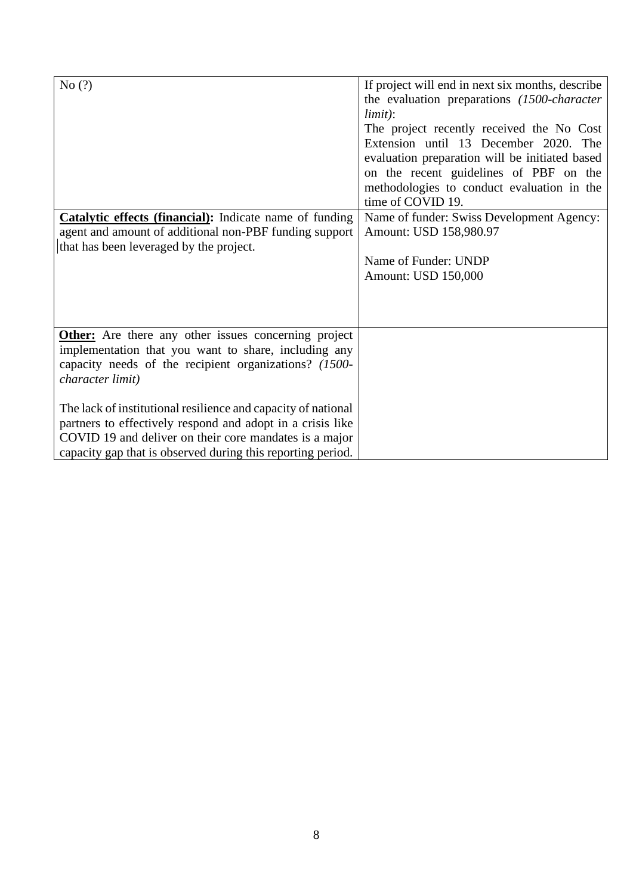| No(?)<br>Catalytic effects (financial): Indicate name of funding<br>agent and amount of additional non-PBF funding support<br>that has been leveraged by the project.                                                                                                                                                                                                                                                                                    | If project will end in next six months, describe<br>the evaluation preparations (1500-character)<br>limit):<br>The project recently received the No Cost<br>Extension until 13 December 2020. The<br>evaluation preparation will be initiated based<br>on the recent guidelines of PBF on the<br>methodologies to conduct evaluation in the<br>time of COVID 19.<br>Name of funder: Swiss Development Agency:<br>Amount: USD 158,980.97<br>Name of Funder: UNDP<br>Amount: USD 150,000 |
|----------------------------------------------------------------------------------------------------------------------------------------------------------------------------------------------------------------------------------------------------------------------------------------------------------------------------------------------------------------------------------------------------------------------------------------------------------|----------------------------------------------------------------------------------------------------------------------------------------------------------------------------------------------------------------------------------------------------------------------------------------------------------------------------------------------------------------------------------------------------------------------------------------------------------------------------------------|
| <b>Other:</b> Are there any other issues concerning project<br>implementation that you want to share, including any<br>capacity needs of the recipient organizations? (1500-<br>character limit)<br>The lack of institutional resilience and capacity of national<br>partners to effectively respond and adopt in a crisis like<br>COVID 19 and deliver on their core mandates is a major<br>capacity gap that is observed during this reporting period. |                                                                                                                                                                                                                                                                                                                                                                                                                                                                                        |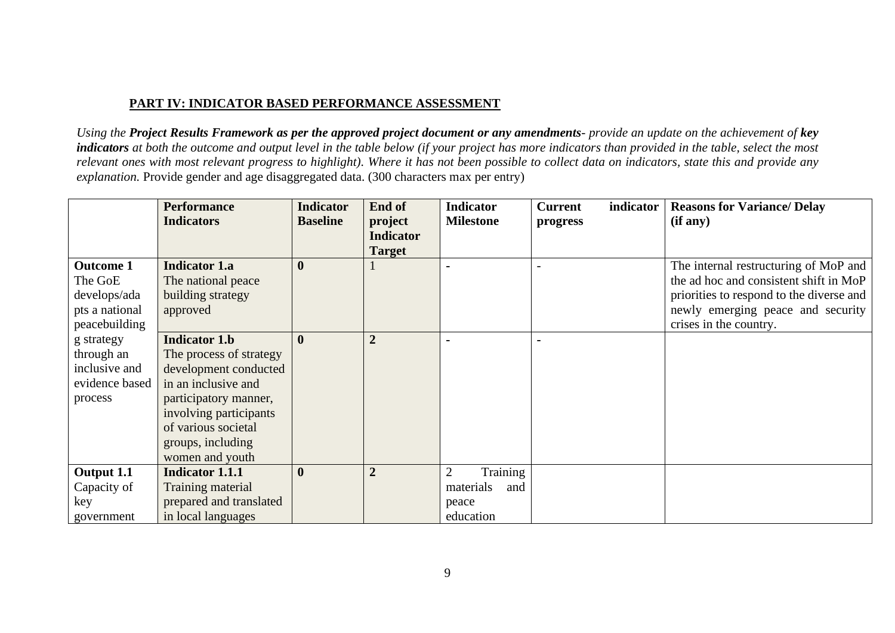## **PART IV: INDICATOR BASED PERFORMANCE ASSESSMENT**

*Using the Project Results Framework as per the approved project document or any amendments- provide an update on the achievement of key indicators at both the outcome and output level in the table below (if your project has more indicators than provided in the table, select the most relevant ones with most relevant progress to highlight). Where it has not been possible to collect data on indicators, state this and provide any explanation.* Provide gender and age disaggregated data. (300 characters max per entry)

|                  | <b>Performance</b>      | <b>Indicator</b> | End of                                       | <b>Indicator</b>           | <b>Current</b><br>indicator | <b>Reasons for Variance/ Delay</b>       |
|------------------|-------------------------|------------------|----------------------------------------------|----------------------------|-----------------------------|------------------------------------------|
|                  | <b>Indicators</b>       | <b>Baseline</b>  | project<br><b>Indicator</b><br><b>Target</b> | <b>Milestone</b>           | progress                    | (if any)                                 |
| <b>Outcome 1</b> | <b>Indicator 1.a</b>    | $\boldsymbol{0}$ |                                              |                            |                             | The internal restructuring of MoP and    |
| The GoE          | The national peace      |                  |                                              |                            |                             | the ad hoc and consistent shift in MoP   |
| develops/ada     | building strategy       |                  |                                              |                            |                             | priorities to respond to the diverse and |
| pts a national   | approved                |                  |                                              |                            |                             | newly emerging peace and security        |
| peacebuilding    |                         |                  |                                              |                            |                             | crises in the country.                   |
| g strategy       | <b>Indicator 1.b</b>    | $\mathbf{0}$     | $\overline{2}$                               |                            |                             |                                          |
| through an       | The process of strategy |                  |                                              |                            |                             |                                          |
| inclusive and    | development conducted   |                  |                                              |                            |                             |                                          |
| evidence based   | in an inclusive and     |                  |                                              |                            |                             |                                          |
| process          | participatory manner,   |                  |                                              |                            |                             |                                          |
|                  | involving participants  |                  |                                              |                            |                             |                                          |
|                  | of various societal     |                  |                                              |                            |                             |                                          |
|                  | groups, including       |                  |                                              |                            |                             |                                          |
|                  | women and youth         |                  |                                              |                            |                             |                                          |
| Output 1.1       | <b>Indicator 1.1.1</b>  | $\boldsymbol{0}$ | $\overline{2}$                               | $\overline{2}$<br>Training |                             |                                          |
| Capacity of      | Training material       |                  |                                              | materials<br>and           |                             |                                          |
| key              | prepared and translated |                  |                                              | peace                      |                             |                                          |
| government       | in local languages      |                  |                                              | education                  |                             |                                          |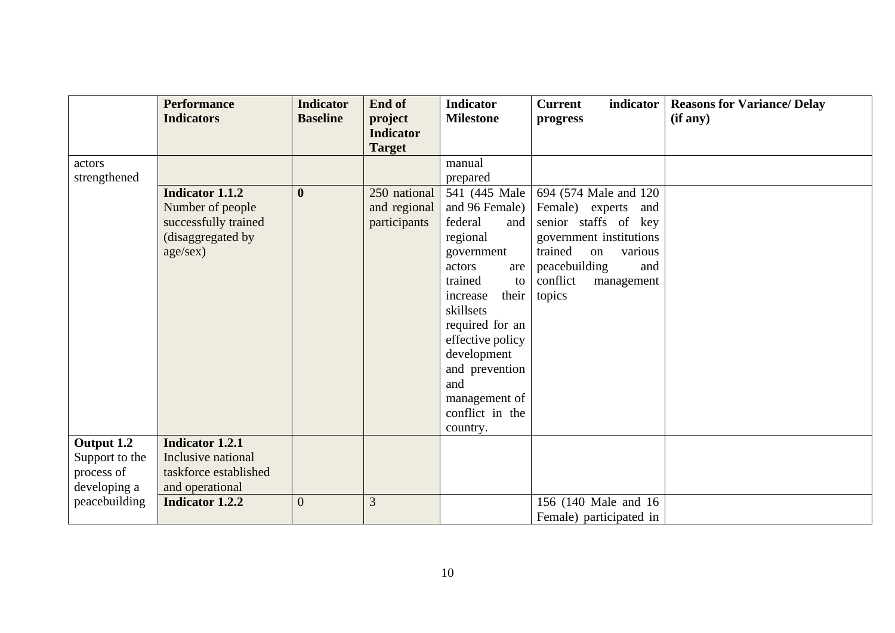|                | <b>Performance</b><br><b>Indicators</b> | <b>Indicator</b> | End of                      | <b>Indicator</b>  | <b>Current</b><br>indicator | <b>Reasons for Variance/ Delay</b> |
|----------------|-----------------------------------------|------------------|-----------------------------|-------------------|-----------------------------|------------------------------------|
|                |                                         | <b>Baseline</b>  | project<br><b>Indicator</b> | <b>Milestone</b>  | progress                    | (if any)                           |
|                |                                         |                  | <b>Target</b>               |                   |                             |                                    |
| actors         |                                         |                  |                             | manual            |                             |                                    |
| strengthened   |                                         |                  |                             | prepared          |                             |                                    |
|                | <b>Indicator 1.1.2</b>                  | $\mathbf{0}$     | 250 national                | 541 (445 Male     | 694 (574 Male and 120)      |                                    |
|                | Number of people                        |                  | and regional                | and 96 Female)    | Female) experts and         |                                    |
|                | successfully trained                    |                  | participants                | federal<br>and    | senior staffs of key        |                                    |
|                | (disaggregated by                       |                  |                             | regional          | government institutions     |                                    |
|                | age/secx)                               |                  |                             | government        | trained<br>various<br>on    |                                    |
|                |                                         |                  |                             | actors<br>are     | peacebuilding<br>and        |                                    |
|                |                                         |                  |                             | trained<br>to     | conflict<br>management      |                                    |
|                |                                         |                  |                             | increase<br>their | topics                      |                                    |
|                |                                         |                  |                             | skillsets         |                             |                                    |
|                |                                         |                  |                             | required for an   |                             |                                    |
|                |                                         |                  |                             | effective policy  |                             |                                    |
|                |                                         |                  |                             | development       |                             |                                    |
|                |                                         |                  |                             | and prevention    |                             |                                    |
|                |                                         |                  |                             | and               |                             |                                    |
|                |                                         |                  |                             | management of     |                             |                                    |
|                |                                         |                  |                             | conflict in the   |                             |                                    |
|                |                                         |                  |                             | country.          |                             |                                    |
| Output 1.2     | <b>Indicator 1.2.1</b>                  |                  |                             |                   |                             |                                    |
| Support to the | Inclusive national                      |                  |                             |                   |                             |                                    |
| process of     | taskforce established                   |                  |                             |                   |                             |                                    |
| developing a   | and operational                         |                  |                             |                   |                             |                                    |
| peacebuilding  | <b>Indicator 1.2.2</b>                  | $\overline{0}$   | $\overline{3}$              |                   | 156 (140 Male and 16)       |                                    |
|                |                                         |                  |                             |                   | Female) participated in     |                                    |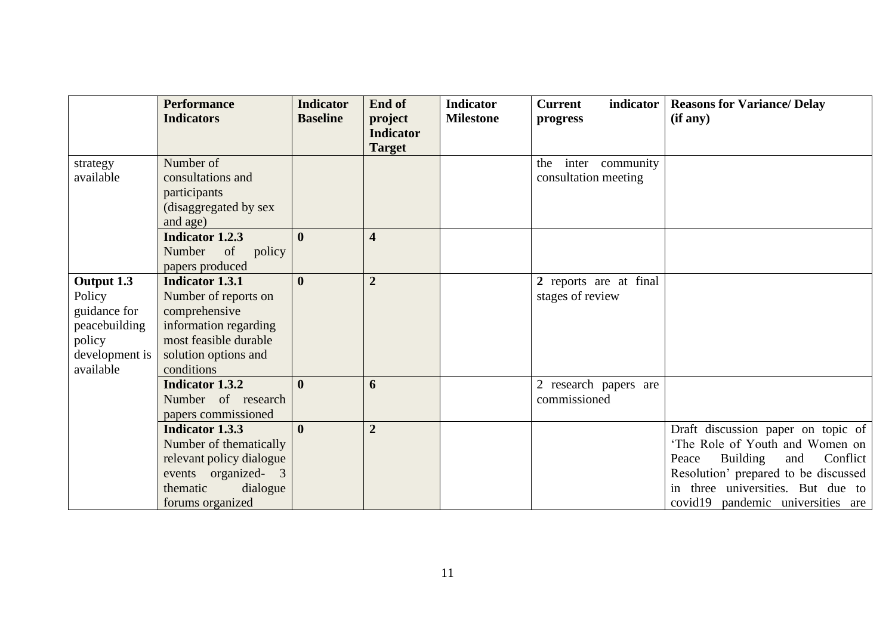|                                                                                                | <b>Performance</b><br><b>Indicators</b>                                                                                                                 | <b>Indicator</b><br><b>Baseline</b> | End of<br>project<br><b>Indicator</b><br><b>Target</b> | <b>Indicator</b><br><b>Milestone</b> | <b>Current</b><br>indicator<br>progress        | <b>Reasons for Variance/ Delay</b><br>(if any)                                                                                                                                                                                  |
|------------------------------------------------------------------------------------------------|---------------------------------------------------------------------------------------------------------------------------------------------------------|-------------------------------------|--------------------------------------------------------|--------------------------------------|------------------------------------------------|---------------------------------------------------------------------------------------------------------------------------------------------------------------------------------------------------------------------------------|
| strategy<br>available                                                                          | Number of<br>consultations and<br>participants<br>(disaggregated by sex<br>and age)                                                                     |                                     |                                                        |                                      | inter community<br>the<br>consultation meeting |                                                                                                                                                                                                                                 |
|                                                                                                | <b>Indicator 1.2.3</b><br>Number<br>of<br>policy<br>papers produced                                                                                     | $\mathbf{0}$                        | $\overline{\mathbf{4}}$                                |                                      |                                                |                                                                                                                                                                                                                                 |
| Output 1.3<br>Policy<br>guidance for<br>peacebuilding<br>policy<br>development is<br>available | <b>Indicator 1.3.1</b><br>Number of reports on<br>comprehensive<br>information regarding<br>most feasible durable<br>solution options and<br>conditions | $\mathbf{0}$                        | $\overline{2}$                                         |                                      | 2 reports are at final<br>stages of review     |                                                                                                                                                                                                                                 |
|                                                                                                | <b>Indicator 1.3.2</b><br>Number of research<br>papers commissioned                                                                                     | $\mathbf{0}$                        | 6                                                      |                                      | 2 research papers are<br>commissioned          |                                                                                                                                                                                                                                 |
|                                                                                                | <b>Indicator 1.3.3</b><br>Number of thematically<br>relevant policy dialogue<br>events organized- 3<br>dialogue<br>thematic<br>forums organized         | $\mathbf{0}$                        | $\overline{2}$                                         |                                      |                                                | Draft discussion paper on topic of<br>'The Role of Youth and Women on<br>Building<br>Conflict<br>Peace<br>and<br>Resolution' prepared to be discussed<br>in three universities. But due to<br>covid19 pandemic universities are |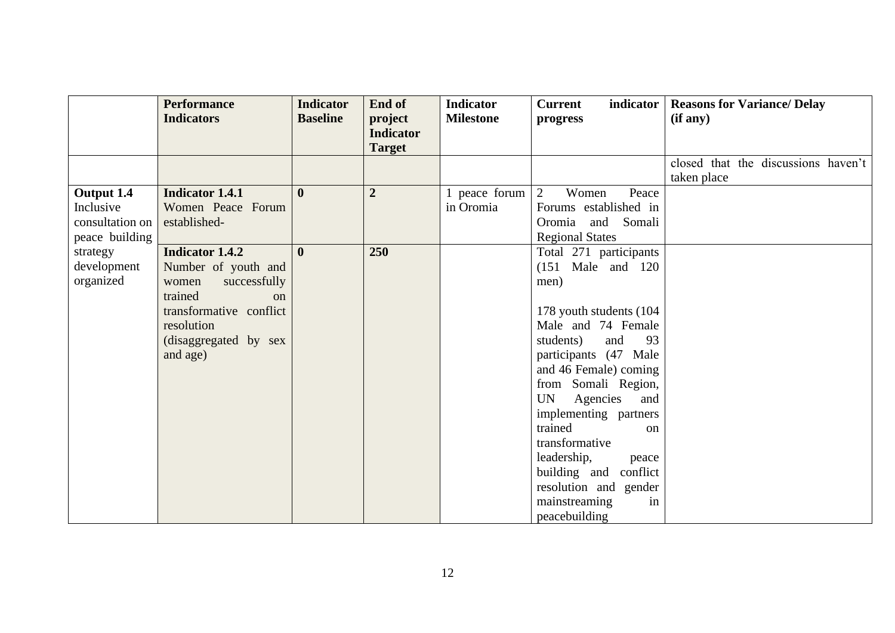|                 | <b>Performance</b><br><b>Indicators</b> | <b>Indicator</b><br><b>Baseline</b> | End of<br>project                 | <b>Indicator</b><br><b>Milestone</b> | <b>Current</b><br>indicator<br>progress | <b>Reasons for Variance/Delay</b><br>(if any) |
|-----------------|-----------------------------------------|-------------------------------------|-----------------------------------|--------------------------------------|-----------------------------------------|-----------------------------------------------|
|                 |                                         |                                     | <b>Indicator</b><br><b>Target</b> |                                      |                                         |                                               |
|                 |                                         |                                     |                                   |                                      |                                         | closed that the discussions haven't           |
|                 |                                         |                                     |                                   |                                      |                                         | taken place                                   |
| Output 1.4      | <b>Indicator 1.4.1</b>                  | $\mathbf{0}$                        | $\overline{2}$                    | 1 peace forum                        | $\overline{2}$<br>Women<br>Peace        |                                               |
| Inclusive       | Women Peace Forum                       |                                     |                                   | in Oromia                            | Forums established in                   |                                               |
| consultation on | established-                            |                                     |                                   |                                      | Oromia<br>Somali<br>and                 |                                               |
| peace building  |                                         |                                     |                                   |                                      | <b>Regional States</b>                  |                                               |
| strategy        | <b>Indicator 1.4.2</b>                  | $\mathbf{0}$                        | 250                               |                                      | Total 271 participants                  |                                               |
| development     | Number of youth and                     |                                     |                                   |                                      | $(151 \text{ Male}$ and $120$           |                                               |
| organized       | successfully<br>women                   |                                     |                                   |                                      | men)                                    |                                               |
|                 | trained<br>$\alpha$                     |                                     |                                   |                                      |                                         |                                               |
|                 | transformative conflict                 |                                     |                                   |                                      | 178 youth students (104                 |                                               |
|                 | resolution                              |                                     |                                   |                                      | Male and 74 Female                      |                                               |
|                 | (disaggregated by sex                   |                                     |                                   |                                      | 93<br>students)<br>and                  |                                               |
|                 | and age)                                |                                     |                                   |                                      | participants (47 Male                   |                                               |
|                 |                                         |                                     |                                   |                                      | and 46 Female) coming                   |                                               |
|                 |                                         |                                     |                                   |                                      | from Somali Region,                     |                                               |
|                 |                                         |                                     |                                   |                                      | Agencies<br>UN<br>and                   |                                               |
|                 |                                         |                                     |                                   |                                      | implementing partners                   |                                               |
|                 |                                         |                                     |                                   |                                      | trained<br><sub>on</sub>                |                                               |
|                 |                                         |                                     |                                   |                                      | transformative                          |                                               |
|                 |                                         |                                     |                                   |                                      | leadership,<br>peace                    |                                               |
|                 |                                         |                                     |                                   |                                      | building and conflict                   |                                               |
|                 |                                         |                                     |                                   |                                      | resolution and gender                   |                                               |
|                 |                                         |                                     |                                   |                                      | mainstreaming<br>in                     |                                               |
|                 |                                         |                                     |                                   |                                      | peacebuilding                           |                                               |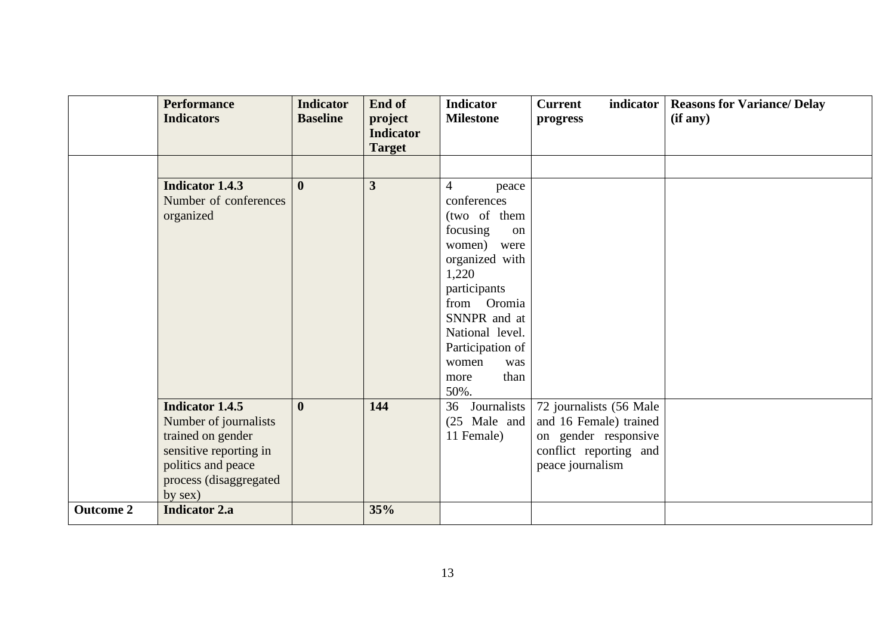|                  | <b>Performance</b><br><b>Indicators</b>                                                                | <b>Indicator</b><br><b>Baseline</b> | End of<br>project<br><b>Indicator</b><br><b>Target</b> | <b>Indicator</b><br><b>Milestone</b>                                                                                                                                                                     | <b>Current</b><br>indicator<br>progress                            | <b>Reasons for Variance/ Delay</b><br>(if any) |
|------------------|--------------------------------------------------------------------------------------------------------|-------------------------------------|--------------------------------------------------------|----------------------------------------------------------------------------------------------------------------------------------------------------------------------------------------------------------|--------------------------------------------------------------------|------------------------------------------------|
|                  | <b>Indicator 1.4.3</b><br>Number of conferences<br>organized                                           | $\mathbf{0}$                        | $\overline{\mathbf{3}}$                                | $\overline{4}$<br>peace<br>conferences<br>(two of them<br>focusing<br>on<br>women) were<br>organized with<br>1,220<br>participants<br>from Oromia<br>SNNPR and at<br>National level.<br>Participation of |                                                                    |                                                |
|                  | <b>Indicator 1.4.5</b><br>Number of journalists                                                        | $\mathbf{0}$                        | 144                                                    | women<br>was<br>than<br>more<br>50%.<br>36<br>Journalists<br>$(25 \text{ Male and})$                                                                                                                     | 72 journalists (56 Male<br>and 16 Female) trained                  |                                                |
|                  | trained on gender<br>sensitive reporting in<br>politics and peace<br>process (disaggregated<br>by sex) |                                     |                                                        | 11 Female)                                                                                                                                                                                               | on gender responsive<br>conflict reporting and<br>peace journalism |                                                |
| <b>Outcome 2</b> | <b>Indicator 2.a</b>                                                                                   |                                     | 35%                                                    |                                                                                                                                                                                                          |                                                                    |                                                |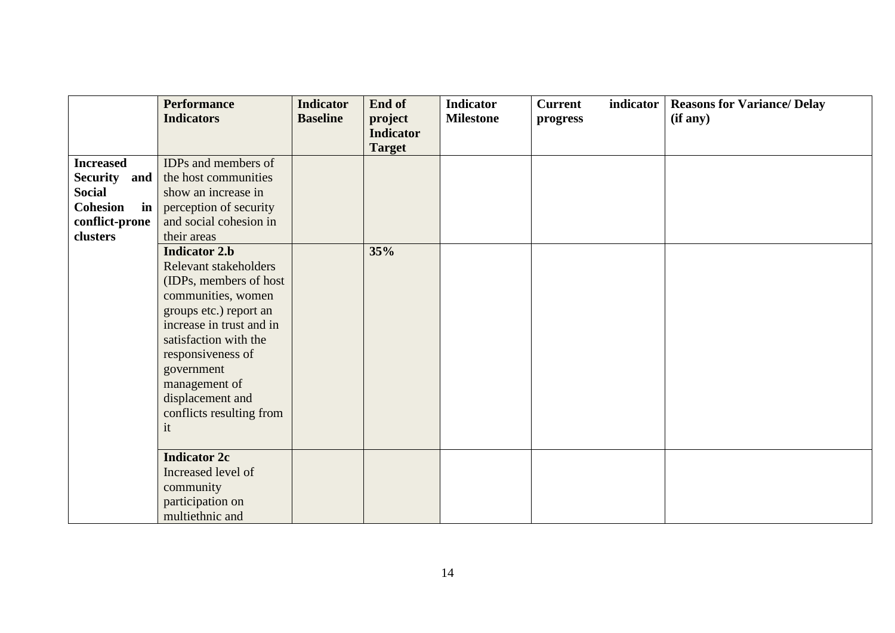|                  | <b>Performance</b>       | <b>Indicator</b> | End of                            | <b>Indicator</b> | <b>Current</b> | indicator | <b>Reasons for Variance/ Delay</b> |
|------------------|--------------------------|------------------|-----------------------------------|------------------|----------------|-----------|------------------------------------|
|                  | <b>Indicators</b>        | <b>Baseline</b>  | project                           | <b>Milestone</b> | progress       |           | (if any)                           |
|                  |                          |                  | <b>Indicator</b><br><b>Target</b> |                  |                |           |                                    |
| <b>Increased</b> | IDPs and members of      |                  |                                   |                  |                |           |                                    |
| Security and     | the host communities     |                  |                                   |                  |                |           |                                    |
| <b>Social</b>    | show an increase in      |                  |                                   |                  |                |           |                                    |
| Cohesion<br>in   | perception of security   |                  |                                   |                  |                |           |                                    |
| conflict-prone   | and social cohesion in   |                  |                                   |                  |                |           |                                    |
| clusters         | their areas              |                  |                                   |                  |                |           |                                    |
|                  | <b>Indicator 2.b</b>     |                  | 35%                               |                  |                |           |                                    |
|                  | Relevant stakeholders    |                  |                                   |                  |                |           |                                    |
|                  | (IDPs, members of host   |                  |                                   |                  |                |           |                                    |
|                  | communities, women       |                  |                                   |                  |                |           |                                    |
|                  | groups etc.) report an   |                  |                                   |                  |                |           |                                    |
|                  | increase in trust and in |                  |                                   |                  |                |           |                                    |
|                  | satisfaction with the    |                  |                                   |                  |                |           |                                    |
|                  | responsiveness of        |                  |                                   |                  |                |           |                                    |
|                  | government               |                  |                                   |                  |                |           |                                    |
|                  | management of            |                  |                                   |                  |                |           |                                    |
|                  | displacement and         |                  |                                   |                  |                |           |                                    |
|                  | conflicts resulting from |                  |                                   |                  |                |           |                                    |
|                  | it                       |                  |                                   |                  |                |           |                                    |
|                  |                          |                  |                                   |                  |                |           |                                    |
|                  | <b>Indicator 2c</b>      |                  |                                   |                  |                |           |                                    |
|                  | Increased level of       |                  |                                   |                  |                |           |                                    |
|                  | community                |                  |                                   |                  |                |           |                                    |
|                  | participation on         |                  |                                   |                  |                |           |                                    |
|                  | multiethnic and          |                  |                                   |                  |                |           |                                    |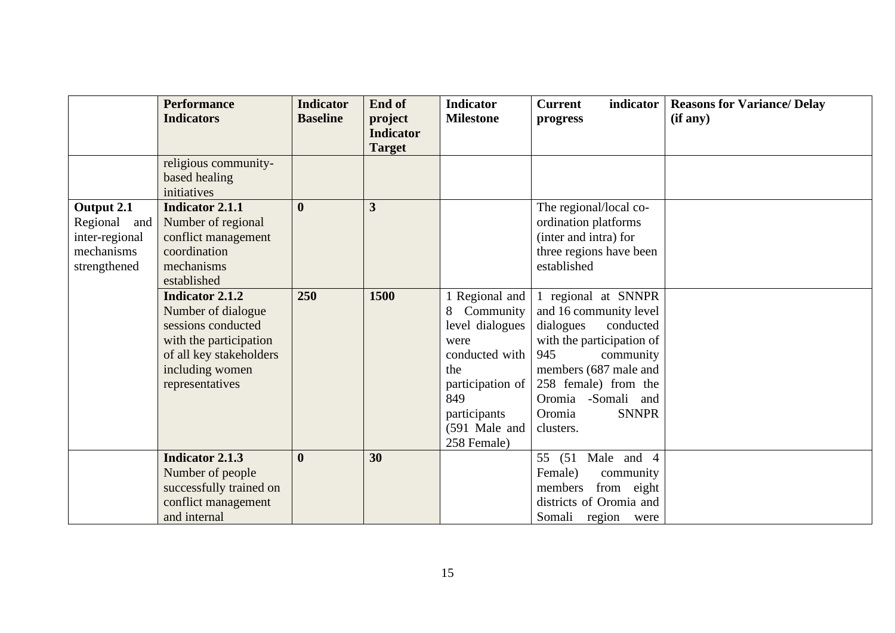|                | <b>Performance</b><br><b>Indicators</b>           | <b>Indicator</b><br><b>Baseline</b> | End of<br>project<br><b>Indicator</b> | <b>Indicator</b><br><b>Milestone</b> | <b>Current</b><br>indicator<br>progress       | <b>Reasons for Variance/ Delay</b><br>(if any) |
|----------------|---------------------------------------------------|-------------------------------------|---------------------------------------|--------------------------------------|-----------------------------------------------|------------------------------------------------|
|                |                                                   |                                     | <b>Target</b>                         |                                      |                                               |                                                |
|                | religious community-                              |                                     |                                       |                                      |                                               |                                                |
|                | based healing                                     |                                     |                                       |                                      |                                               |                                                |
|                | initiatives                                       |                                     |                                       |                                      |                                               |                                                |
| Output 2.1     | <b>Indicator 2.1.1</b>                            | $\mathbf{0}$                        | $\overline{3}$                        |                                      | The regional/local co-                        |                                                |
| Regional and   | Number of regional                                |                                     |                                       |                                      | ordination platforms                          |                                                |
| inter-regional | conflict management                               |                                     |                                       |                                      | (inter and intra) for                         |                                                |
| mechanisms     | coordination                                      |                                     |                                       |                                      | three regions have been                       |                                                |
| strengthened   | mechanisms                                        |                                     |                                       |                                      | established                                   |                                                |
|                | established                                       |                                     |                                       |                                      |                                               |                                                |
|                | <b>Indicator 2.1.2</b>                            | 250                                 | 1500                                  | 1 Regional and                       | 1 regional at SNNPR                           |                                                |
|                | Number of dialogue                                |                                     |                                       | Community<br>8                       | and 16 community level                        |                                                |
|                | sessions conducted                                |                                     |                                       | level dialogues                      | conducted<br>dialogues                        |                                                |
|                | with the participation<br>of all key stakeholders |                                     |                                       | were<br>conducted with               | with the participation of<br>945<br>community |                                                |
|                | including women                                   |                                     |                                       | the                                  | members (687 male and                         |                                                |
|                | representatives                                   |                                     |                                       | participation of                     | 258 female) from the                          |                                                |
|                |                                                   |                                     |                                       | 849                                  | Oromia -Somali and                            |                                                |
|                |                                                   |                                     |                                       | participants                         | Oromia<br><b>SNNPR</b>                        |                                                |
|                |                                                   |                                     |                                       | (591 Male and                        | clusters.                                     |                                                |
|                |                                                   |                                     |                                       | 258 Female)                          |                                               |                                                |
|                | <b>Indicator 2.1.3</b>                            | $\boldsymbol{0}$                    | 30                                    |                                      | 55 (51 Male and 4                             |                                                |
|                | Number of people                                  |                                     |                                       |                                      | Female)<br>community                          |                                                |
|                | successfully trained on                           |                                     |                                       |                                      | members<br>from eight                         |                                                |
|                | conflict management                               |                                     |                                       |                                      | districts of Oromia and                       |                                                |
|                | and internal                                      |                                     |                                       |                                      | Somali region were                            |                                                |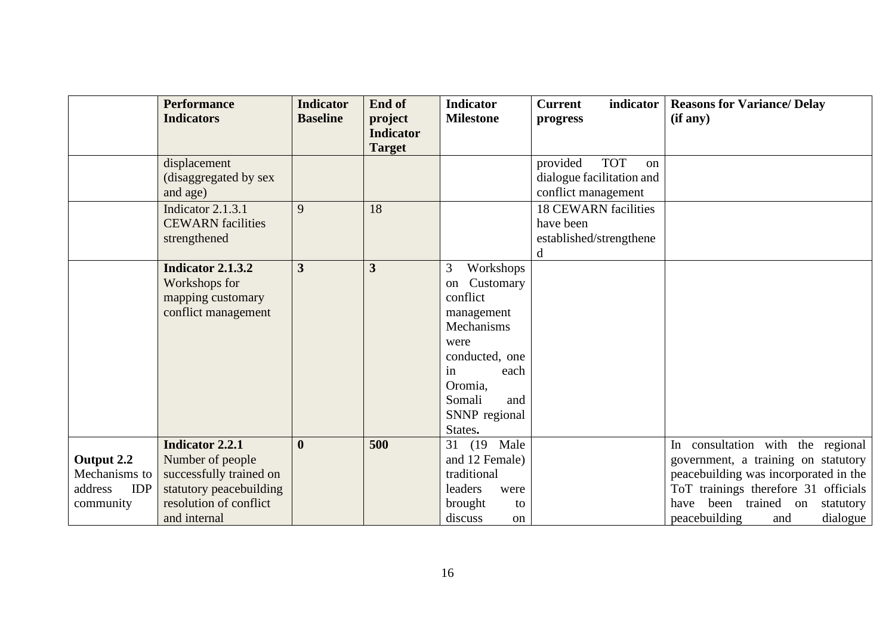|                                                                   | <b>Performance</b><br><b>Indicators</b>                                                                                                    | <b>Indicator</b><br><b>Baseline</b> | End of<br>project<br><b>Indicator</b> | <b>Indicator</b><br><b>Milestone</b>                                                                                                                                      | <b>Current</b><br>indicator<br>progress                                                     | <b>Reasons for Variance/ Delay</b><br>(if any)                                                                                                                                                                                        |
|-------------------------------------------------------------------|--------------------------------------------------------------------------------------------------------------------------------------------|-------------------------------------|---------------------------------------|---------------------------------------------------------------------------------------------------------------------------------------------------------------------------|---------------------------------------------------------------------------------------------|---------------------------------------------------------------------------------------------------------------------------------------------------------------------------------------------------------------------------------------|
|                                                                   |                                                                                                                                            |                                     | <b>Target</b>                         |                                                                                                                                                                           |                                                                                             |                                                                                                                                                                                                                                       |
|                                                                   | displacement<br>(disaggregated by sex<br>and age)                                                                                          |                                     |                                       |                                                                                                                                                                           | provided<br><b>TOT</b><br><sub>on</sub><br>dialogue facilitation and<br>conflict management |                                                                                                                                                                                                                                       |
|                                                                   | Indicator 2.1.3.1<br><b>CEWARN</b> facilities<br>strengthened                                                                              | 9                                   | 18                                    |                                                                                                                                                                           | <b>18 CEWARN facilities</b><br>have been<br>established/strengthene<br>d                    |                                                                                                                                                                                                                                       |
|                                                                   | Indicator 2.1.3.2<br>Workshops for<br>mapping customary<br>conflict management                                                             | $\overline{\mathbf{3}}$             | 3                                     | 3<br>Workshops<br>Customary<br>on<br>conflict<br>management<br>Mechanisms<br>were<br>conducted, one<br>each<br>in<br>Oromia,<br>Somali<br>and<br>SNNP regional<br>States. |                                                                                             |                                                                                                                                                                                                                                       |
| Output 2.2<br>Mechanisms to<br><b>IDP</b><br>address<br>community | <b>Indicator 2.2.1</b><br>Number of people<br>successfully trained on<br>statutory peacebuilding<br>resolution of conflict<br>and internal | $\boldsymbol{0}$                    | 500                                   | 31 (19 Male<br>and 12 Female)<br>traditional<br>leaders<br>were<br>brought<br>to<br>discuss<br><sub>on</sub>                                                              |                                                                                             | In consultation with the regional<br>government, a training on statutory<br>peacebuilding was incorporated in the<br>ToT trainings therefore 31 officials<br>been trained on<br>have<br>statutory<br>peacebuilding<br>dialogue<br>and |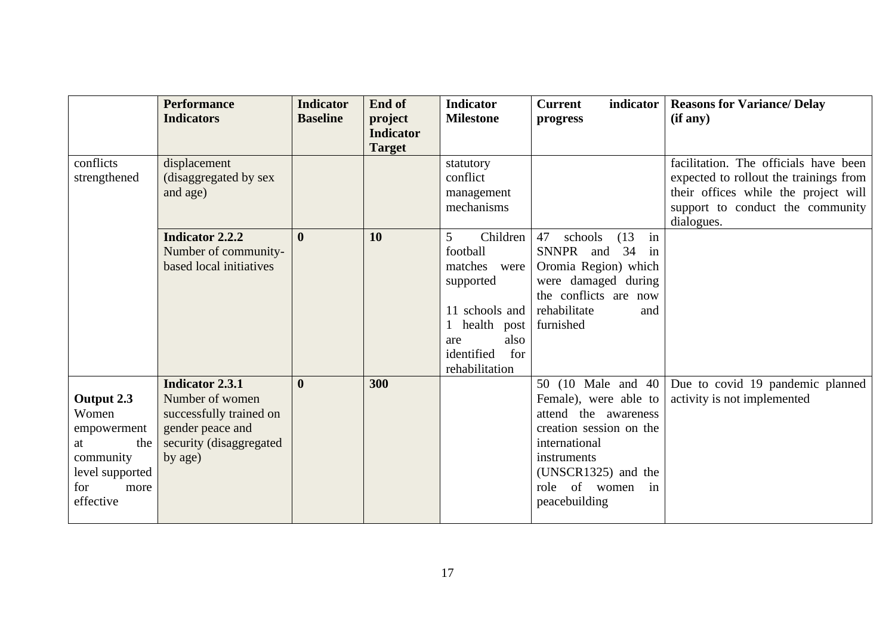|                                                                                                             | <b>Performance</b><br><b>Indicators</b>                                                                                        | <b>Indicator</b><br><b>Baseline</b> | End of<br>project                 | <b>Indicator</b><br><b>Milestone</b>                                                                                                                | <b>Current</b><br>indicator<br>progress                                                                                                                                                        | <b>Reasons for Variance/ Delay</b><br>(if any)                                                                                                                            |
|-------------------------------------------------------------------------------------------------------------|--------------------------------------------------------------------------------------------------------------------------------|-------------------------------------|-----------------------------------|-----------------------------------------------------------------------------------------------------------------------------------------------------|------------------------------------------------------------------------------------------------------------------------------------------------------------------------------------------------|---------------------------------------------------------------------------------------------------------------------------------------------------------------------------|
|                                                                                                             |                                                                                                                                |                                     | <b>Indicator</b><br><b>Target</b> |                                                                                                                                                     |                                                                                                                                                                                                |                                                                                                                                                                           |
| conflicts<br>strengthened                                                                                   | displacement<br>(disaggregated by sex<br>and age)                                                                              |                                     |                                   | statutory<br>conflict<br>management<br>mechanisms                                                                                                   |                                                                                                                                                                                                | facilitation. The officials have been<br>expected to rollout the trainings from<br>their offices while the project will<br>support to conduct the community<br>dialogues. |
|                                                                                                             | <b>Indicator 2.2.2</b><br>Number of community-<br>based local initiatives                                                      | $\mathbf{0}$                        | 10                                | 5<br>Children<br>football<br>matches<br>were<br>supported<br>11 schools and<br>health<br>post<br>also<br>are<br>identified<br>for<br>rehabilitation | 47<br>(13)<br>in<br>schools<br>SNNPR and<br>34<br>in<br>Oromia Region) which<br>were damaged during<br>the conflicts are now<br>rehabilitate<br>and<br>furnished                               |                                                                                                                                                                           |
| Output 2.3<br>Women<br>empowerment<br>the<br>at<br>community<br>level supported<br>for<br>more<br>effective | <b>Indicator 2.3.1</b><br>Number of women<br>successfully trained on<br>gender peace and<br>security (disaggregated<br>by age) | $\mathbf{0}$                        | 300                               |                                                                                                                                                     | 50 (10 Male and 40)<br>Female), were able to<br>attend the awareness<br>creation session on the<br>international<br>instruments<br>(UNSCR1325) and the<br>role of women<br>in<br>peacebuilding | Due to covid 19 pandemic planned<br>activity is not implemented                                                                                                           |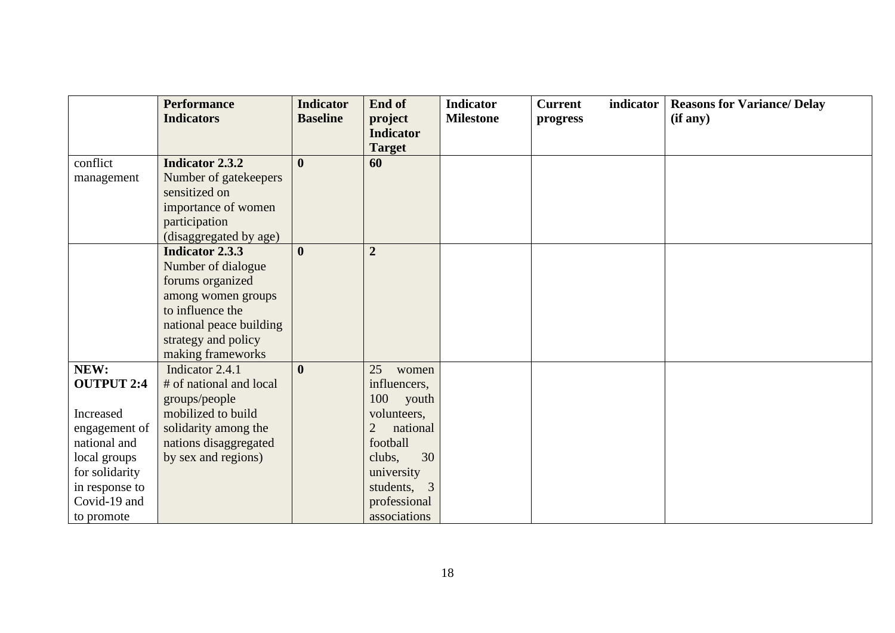|                   | <b>Performance</b>      | <b>Indicator</b> | End of                      | <b>Indicator</b> | <b>Current</b> | indicator | <b>Reasons for Variance/ Delay</b> |
|-------------------|-------------------------|------------------|-----------------------------|------------------|----------------|-----------|------------------------------------|
|                   | <b>Indicators</b>       | <b>Baseline</b>  | project                     | <b>Milestone</b> | progress       |           | (if any)                           |
|                   |                         |                  | <b>Indicator</b>            |                  |                |           |                                    |
|                   |                         |                  | <b>Target</b>               |                  |                |           |                                    |
| conflict          | <b>Indicator 2.3.2</b>  | $\mathbf{0}$     | 60                          |                  |                |           |                                    |
| management        | Number of gatekeepers   |                  |                             |                  |                |           |                                    |
|                   | sensitized on           |                  |                             |                  |                |           |                                    |
|                   | importance of women     |                  |                             |                  |                |           |                                    |
|                   | participation           |                  |                             |                  |                |           |                                    |
|                   | (disaggregated by age)  |                  |                             |                  |                |           |                                    |
|                   | <b>Indicator 2.3.3</b>  | $\mathbf{0}$     | $\overline{2}$              |                  |                |           |                                    |
|                   | Number of dialogue      |                  |                             |                  |                |           |                                    |
|                   | forums organized        |                  |                             |                  |                |           |                                    |
|                   | among women groups      |                  |                             |                  |                |           |                                    |
|                   | to influence the        |                  |                             |                  |                |           |                                    |
|                   | national peace building |                  |                             |                  |                |           |                                    |
|                   | strategy and policy     |                  |                             |                  |                |           |                                    |
|                   | making frameworks       |                  |                             |                  |                |           |                                    |
| NEW:              | Indicator 2.4.1         | $\mathbf{0}$     | 25<br>women                 |                  |                |           |                                    |
| <b>OUTPUT 2:4</b> | # of national and local |                  | influencers,                |                  |                |           |                                    |
|                   | groups/people           |                  | 100 youth                   |                  |                |           |                                    |
| Increased         | mobilized to build      |                  | volunteers,                 |                  |                |           |                                    |
| engagement of     | solidarity among the    |                  | national<br>2               |                  |                |           |                                    |
| national and      | nations disaggregated   |                  | football                    |                  |                |           |                                    |
| local groups      | by sex and regions)     |                  | 30<br>clubs,                |                  |                |           |                                    |
| for solidarity    |                         |                  | university                  |                  |                |           |                                    |
| in response to    |                         |                  | $\overline{3}$<br>students, |                  |                |           |                                    |
| Covid-19 and      |                         |                  | professional                |                  |                |           |                                    |
| to promote        |                         |                  | associations                |                  |                |           |                                    |